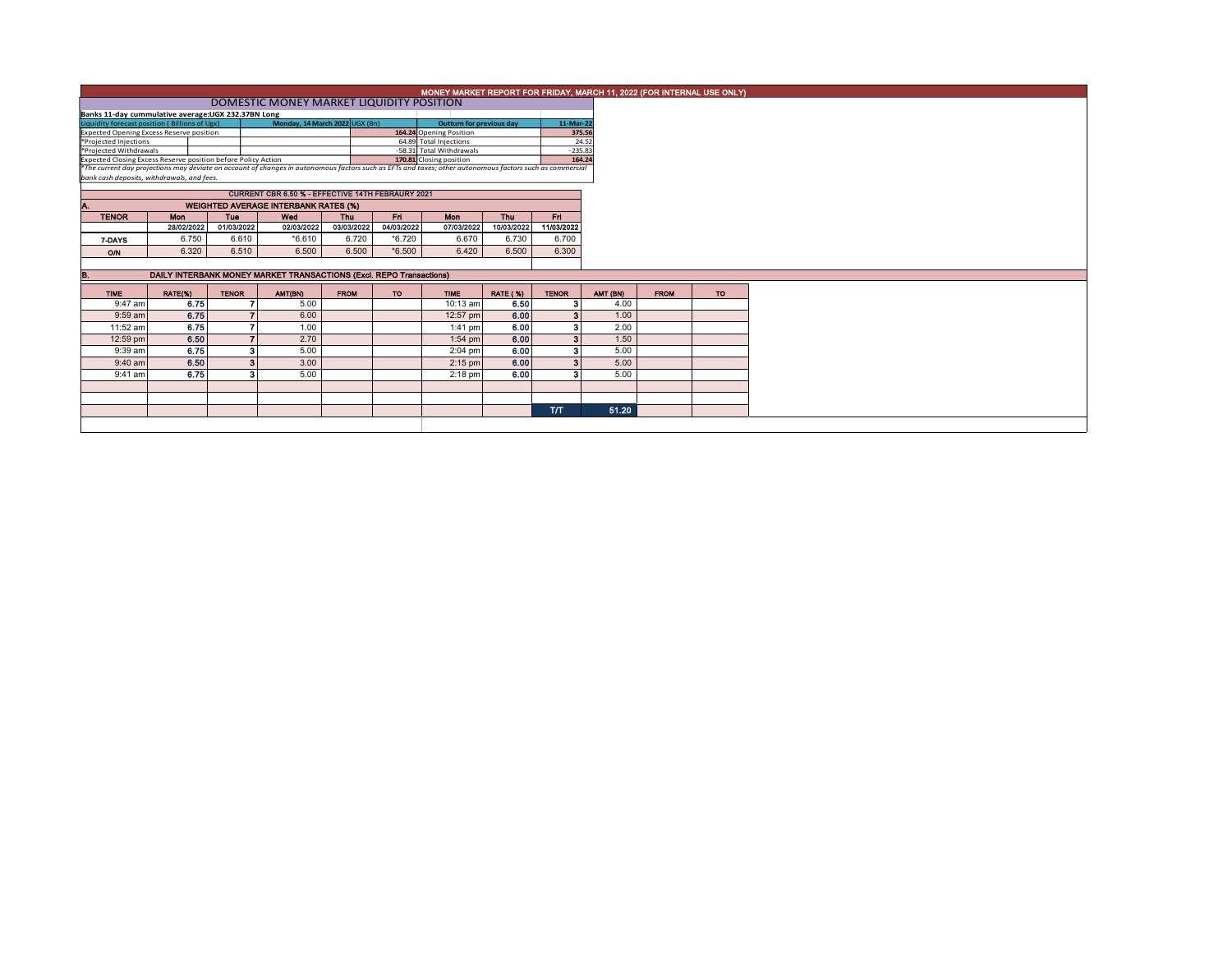|                                                                                                                                                                                                                                                      | MONEY MARKET REPORT FOR FRIDAY, MARCH 11, 2022 (FOR INTERNAL USE ONLY) |                          |                                                                           |                     |            |                          |                 |              |  |          |             |  |  |  |
|------------------------------------------------------------------------------------------------------------------------------------------------------------------------------------------------------------------------------------------------------|------------------------------------------------------------------------|--------------------------|---------------------------------------------------------------------------|---------------------|------------|--------------------------|-----------------|--------------|--|----------|-------------|--|--|--|
|                                                                                                                                                                                                                                                      | DOMESTIC MONEY MARKET LIQUIDITY POSITION                               |                          |                                                                           |                     |            |                          |                 |              |  |          |             |  |  |  |
| Banks 11-day cummulative average:UGX 232.37BN Long                                                                                                                                                                                                   |                                                                        |                          |                                                                           |                     |            |                          |                 |              |  |          |             |  |  |  |
| Monday, 14 March 2022 UGX (Bn)<br>Liquidity forecast position (Billions of Ugx)                                                                                                                                                                      |                                                                        |                          |                                                                           |                     |            | Outturn for previous day |                 | 11-Mar-22    |  |          |             |  |  |  |
| <b>Expected Opening Excess Reserve position</b>                                                                                                                                                                                                      |                                                                        |                          |                                                                           |                     |            | 164.24 Opening Position  |                 | 375.56       |  |          |             |  |  |  |
| *Projected Injections                                                                                                                                                                                                                                |                                                                        | 64.89 Total Injections   |                                                                           |                     |            | 24.52                    |                 |              |  |          |             |  |  |  |
| *Projected Withdrawals                                                                                                                                                                                                                               |                                                                        | -58.31 Total Withdrawals |                                                                           | $-235.83$<br>164.24 |            |                          |                 |              |  |          |             |  |  |  |
| Expected Closing Excess Reserve position before Policy Action<br>170.81 Closing position<br>*The current day projections may deviate on account of changes in autonomous factors such as EFTs and taxes; other autonomous factors such as commercial |                                                                        |                          |                                                                           |                     |            |                          |                 |              |  |          |             |  |  |  |
| bank cash deposits, withdrawals, and fees.                                                                                                                                                                                                           |                                                                        |                          |                                                                           |                     |            |                          |                 |              |  |          |             |  |  |  |
|                                                                                                                                                                                                                                                      |                                                                        |                          |                                                                           |                     |            |                          |                 |              |  |          |             |  |  |  |
|                                                                                                                                                                                                                                                      |                                                                        |                          |                                                                           |                     |            |                          |                 |              |  |          |             |  |  |  |
|                                                                                                                                                                                                                                                      | <b>WEIGHTED AVERAGE INTERBANK RATES (%)</b>                            |                          |                                                                           |                     |            |                          |                 |              |  |          |             |  |  |  |
| <b>TENOR</b>                                                                                                                                                                                                                                         | <b>Mon</b>                                                             | <b>Tue</b>               | Wed                                                                       | Thu                 | Fri        | Mon                      | Thu             | Fri.         |  |          |             |  |  |  |
|                                                                                                                                                                                                                                                      | 28/02/2022                                                             | 01/03/2022               | 02/03/2022                                                                | 03/03/2022          | 04/03/2022 | 07/03/2022               | 10/03/2022      | 11/03/2022   |  |          |             |  |  |  |
| 7-DAYS                                                                                                                                                                                                                                               | 6.750                                                                  | 6.610                    | $*6.610$                                                                  | 6.720               | $*6.720$   | 6.670                    | 6.730           | 6.700        |  |          |             |  |  |  |
|                                                                                                                                                                                                                                                      | 6.320                                                                  | 6.510                    | 6.500                                                                     | 6.500               | $*6.500$   | 6.420                    | 6.500           | 6.300        |  |          |             |  |  |  |
| O/N                                                                                                                                                                                                                                                  |                                                                        |                          |                                                                           |                     |            |                          |                 |              |  |          |             |  |  |  |
|                                                                                                                                                                                                                                                      |                                                                        |                          |                                                                           |                     |            |                          |                 |              |  |          |             |  |  |  |
|                                                                                                                                                                                                                                                      |                                                                        |                          | DAILY INTERBANK MONEY MARKET TRANSACTIONS (Excl. REPO Transactions)<br>В. |                     |            |                          |                 |              |  |          |             |  |  |  |
|                                                                                                                                                                                                                                                      |                                                                        |                          |                                                                           |                     |            |                          |                 |              |  |          |             |  |  |  |
| <b>TIME</b>                                                                                                                                                                                                                                          | RATE(%)                                                                | <b>TENOR</b>             | AMT(BN)                                                                   | <b>FROM</b>         | <b>TO</b>  | <b>TIME</b>              | <b>RATE (%)</b> | <b>TENOR</b> |  | AMT (BN) | <b>FROM</b> |  |  |  |
| 9:47 am                                                                                                                                                                                                                                              | 6.75                                                                   |                          | 5.00                                                                      |                     |            | 10:13 am                 | 6.50            | з            |  | 4.00     |             |  |  |  |
| 9:59 am                                                                                                                                                                                                                                              | 6.75                                                                   |                          | 6.00                                                                      |                     |            | 12:57 pm                 | 6.00            | 3            |  | 1.00     |             |  |  |  |
| 11:52 am                                                                                                                                                                                                                                             |                                                                        |                          | 1.00                                                                      |                     |            |                          |                 | 3            |  | 2.00     |             |  |  |  |
|                                                                                                                                                                                                                                                      | 6.75                                                                   |                          |                                                                           |                     |            | $1:41$ pm                | 6.00            |              |  |          |             |  |  |  |
| 12:59 pm                                                                                                                                                                                                                                             | 6.50                                                                   |                          | 2.70                                                                      |                     |            | $1:54$ pm                | 6.00            | 3            |  | 1.50     |             |  |  |  |
| $9:39$ am                                                                                                                                                                                                                                            | 6.75                                                                   | з                        | 5.00                                                                      |                     |            | $2:04$ pm                | 6.00            | з            |  | 5.00     |             |  |  |  |
| $9:40$ am                                                                                                                                                                                                                                            | 6.50                                                                   | 3                        | 3.00                                                                      |                     |            | $2:15$ pm                | 6.00            | $\mathbf{3}$ |  | 5.00     |             |  |  |  |
| 9:41 am                                                                                                                                                                                                                                              | 6.75                                                                   | з                        | 5.00                                                                      |                     |            | $2:18$ pm                | 6.00            | з            |  | 5.00     |             |  |  |  |
|                                                                                                                                                                                                                                                      |                                                                        |                          |                                                                           |                     |            |                          |                 |              |  |          |             |  |  |  |
|                                                                                                                                                                                                                                                      |                                                                        |                          |                                                                           |                     |            |                          |                 |              |  |          |             |  |  |  |
|                                                                                                                                                                                                                                                      |                                                                        |                          |                                                                           |                     |            |                          |                 | <b>T/T</b>   |  | 51.20    |             |  |  |  |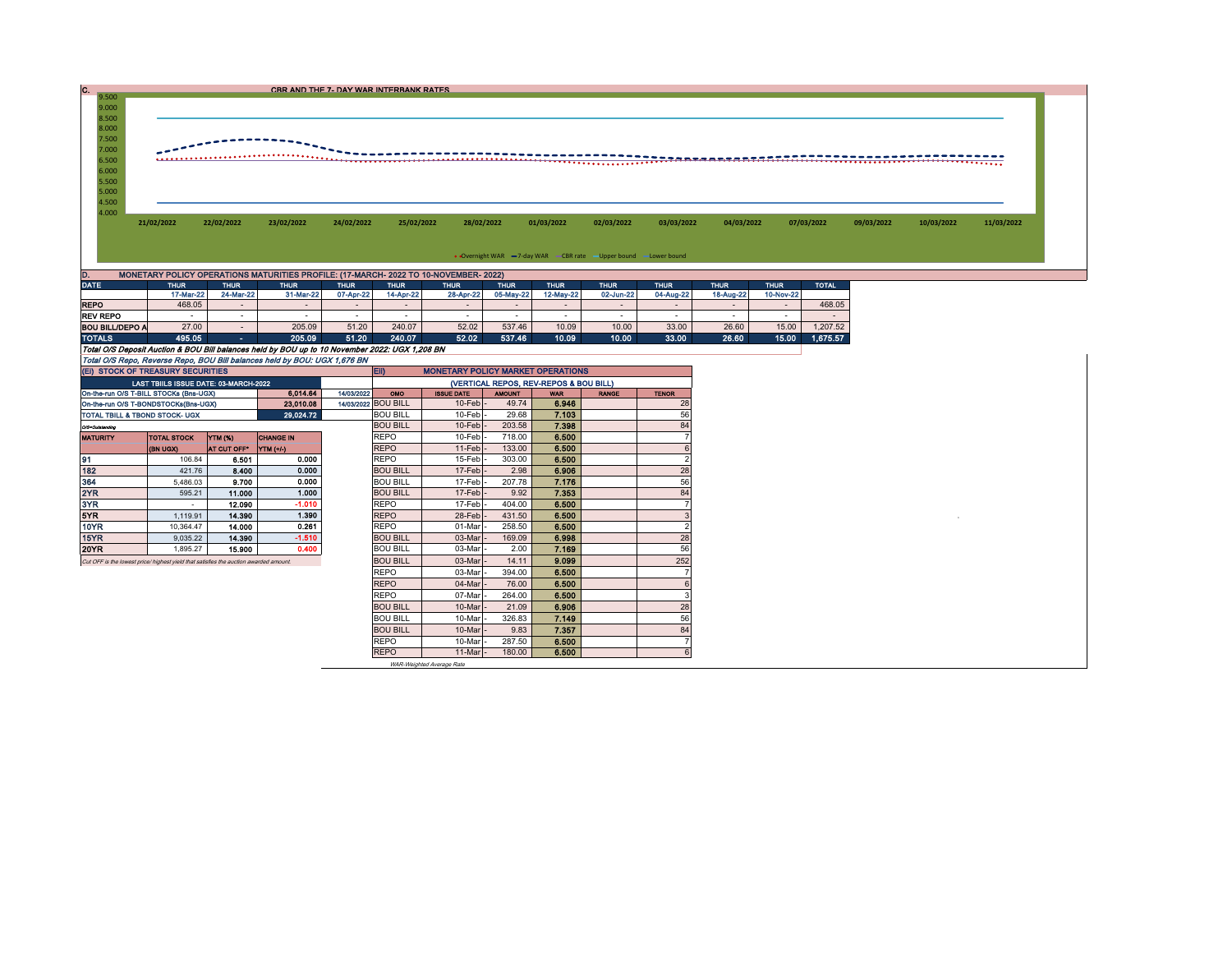|                                                                               |            |                                                                                      |            | CBR AND THE 7- DAY WAR INTERBANK RATES |            |            |                                                                                                                                                                                                                                                                                                                                                                                                                                                                  |            |            |            |            |            |            |            |
|-------------------------------------------------------------------------------|------------|--------------------------------------------------------------------------------------|------------|----------------------------------------|------------|------------|------------------------------------------------------------------------------------------------------------------------------------------------------------------------------------------------------------------------------------------------------------------------------------------------------------------------------------------------------------------------------------------------------------------------------------------------------------------|------------|------------|------------|------------|------------|------------|------------|
| 9.500<br>9.000<br>8.500<br>8.000<br>7.500<br>7.000<br>6.500<br>6.000<br>5.500 |            |                                                                                      |            |                                        |            |            | $\begin{minipage}{0.5cm} \begin{minipage}{0.5cm} \begin{minipage}{0.5cm} \begin{minipage}{0.5cm} \begin{minipage}{0.5cm} \begin{minipage}{0.5cm} \begin{minipage}{0.5cm} \begin{minipage}{0.5cm} \begin{minipage}{0.5cm} \begin{minipage}{0.5cm} \end{minipage} \end{minipage} \end{minipage} \end{minipage} \end{minipage} \end{minipage} \begin{minipage}{0.5cm} \begin{minipage}{0.5cm} \begin{minipage}{0.5cm} \begin{minipage}{0.5cm} \begin{minipage}{0.5$ |            |            |            |            |            |            |            |
| 5.000<br>4.500                                                                |            |                                                                                      |            |                                        |            |            |                                                                                                                                                                                                                                                                                                                                                                                                                                                                  |            |            |            |            |            |            |            |
| 4.000                                                                         | 21/02/2022 | 22/02/2022                                                                           | 23/02/2022 | 24/02/2022                             | 25/02/2022 | 28/02/2022 | 01/03/2022                                                                                                                                                                                                                                                                                                                                                                                                                                                       | 02/03/2022 | 03/03/2022 | 04/03/2022 | 07/03/2022 | 09/03/2022 | 10/03/2022 | 11/03/2022 |
|                                                                               |            |                                                                                      |            |                                        |            |            | • Overnight WAR -7-day WAR - CBR rate -Upper bound -Lower bound                                                                                                                                                                                                                                                                                                                                                                                                  |            |            |            |            |            |            |            |
|                                                                               |            | MONETARY POLICY OPERATIONS MATURITIES PROFILE: (17-MARCH- 2022 TO 10-NOVEMBER- 2022) |            |                                        |            |            |                                                                                                                                                                                                                                                                                                                                                                                                                                                                  |            |            |            |            |            |            |            |

|                                                                                                | 17-Mar-22 | 24-Mar-22                | 31-Mar-22 | 07-Apr-22 | 14-Apr-22                | 28-Apr-22 | 05-May-22 | 12-May-22                | 02-Jun-22 | 04-Aug-22 | 18-Aug-22 | 10-Nov-22                |          |
|------------------------------------------------------------------------------------------------|-----------|--------------------------|-----------|-----------|--------------------------|-----------|-----------|--------------------------|-----------|-----------|-----------|--------------------------|----------|
| <b>REPO</b>                                                                                    | 468.05    | $\overline{\phantom{a}}$ |           |           | -                        |           |           | -                        | $\sim$    |           |           | $\overline{\phantom{0}}$ | 468.05   |
| <b>REV REPO</b>                                                                                |           | . .                      |           |           | $\overline{\phantom{a}}$ |           |           | $\overline{\phantom{a}}$ |           |           |           |                          |          |
| <b>BOU BILL/DEPO A</b>                                                                         | 27.00     |                          | 205.09    | 51.20     | 240.07                   | 52.02     | 537.46    | 10.09                    | 10.00     | 33.00     | 26.60     | 15.00                    | .207.52  |
| <b>TOTALS</b>                                                                                  | 495.05    | and the                  | 205.09    | 51.20     | 240.07                   | 52.02     | 537.46    | 10.09                    | 10.00     | 33.00     | 26.60     | 15.00                    | 1.675.57 |
| Total O/S Deposit Auction & BOU Bill balances held by BOU up to 10 November 2022: UGX 1.208 BN |           |                          |           |           |                          |           |           |                          |           |           |           |                          |          |
| Total O/S Repo, Reverse Repo, BOU Bill balances held by BOU: UGX 1,676 BN                      |           |                          |           |           |                          |           |           |                          |           |           |           |                          |          |

|                                                                  | (EI) STOCK OF TREASURY SECURITIES                                                    |                    |                  |  | <b>ED</b><br><b>MONETARY POLICY MARKET OPERATIONS</b> |                   |               |            |              |                |  |  |
|------------------------------------------------------------------|--------------------------------------------------------------------------------------|--------------------|------------------|--|-------------------------------------------------------|-------------------|---------------|------------|--------------|----------------|--|--|
|                                                                  | LAST TBIILS ISSUE DATE: 03-MARCH-2022                                                |                    |                  |  | (VERTICAL REPOS, REV-REPOS & BOU BILL)                |                   |               |            |              |                |  |  |
| 6.014.64<br>14/03/2022<br>On-the-run O/S T-BILL STOCKs (Bns-UGX) |                                                                                      |                    |                  |  |                                                       | <b>ISSUE DATE</b> | <b>AMOUNT</b> | <b>WAR</b> | <b>RANGE</b> | <b>TENOR</b>   |  |  |
| 23.010.08<br>On-the-run O/S T-BONDSTOCKs(Bns-UGX)                |                                                                                      |                    |                  |  | 14/03/2022 BOU BILL                                   | 10-Feb            | 49.74         | 6.946      |              | 28             |  |  |
| TOTAL TBILL & TBOND STOCK- UGX                                   |                                                                                      |                    | 29.024.72        |  | <b>BOU BILL</b>                                       | 10-Feb            | 29.68         | 7.103      |              | 56             |  |  |
| Q/S=Outstanding                                                  |                                                                                      |                    |                  |  | <b>BOU BILL</b>                                       | $10$ -Feb         | 203.58        | 7.398      |              | 84             |  |  |
| <b>MATURITY</b>                                                  | <b>TOTAL STOCK</b>                                                                   | YTM (%)            | <b>CHANGE IN</b> |  | <b>REPO</b>                                           | 10-Feb            | 718.00        | 6.500      |              |                |  |  |
|                                                                  | <b>(BN UGX)</b>                                                                      | <b>AT CUT OFF*</b> | YTM (+/-)        |  | <b>REPO</b>                                           | $11-Feb$          | 133.00        | 6.500      |              |                |  |  |
| 91                                                               | 106.84                                                                               | 6,501              | 0.000            |  | <b>REPO</b>                                           | 15-Feb            | 303.00        | 6.500      |              |                |  |  |
| 182                                                              | 421.76                                                                               | 8.400              | 0.000            |  | <b>BOU BILL</b>                                       | $17-Feb$          | 2.98          | 6.906      |              | 28             |  |  |
| 364                                                              | 5.486.03                                                                             | 9.700              | 0.000            |  | <b>BOU BILL</b>                                       | 17-Feb            | 207.78        | 7.176      |              | 56             |  |  |
| 2YR                                                              | 595.21                                                                               | 11.000             | 1.000            |  | <b>BOU BILL</b>                                       | 17-Feb            | 9.92          | 7.353      |              | 84             |  |  |
| 3YR                                                              | $\overline{\phantom{a}}$                                                             | 12.090             | $-1.010$         |  | <b>REPO</b>                                           | 17-Feb            | 404.00        | 6.500      |              |                |  |  |
| 5YR                                                              | 1.119.91                                                                             | 14,390             | 1.390            |  | <b>REPO</b>                                           | 28-Feb            | 431.50        | 6.500      |              |                |  |  |
| 10YR                                                             | 10.364.47                                                                            | 14.000             | 0.261            |  | <b>REPO</b>                                           | 01-Mar            | 258.50        | 6.500      |              | $\overline{2}$ |  |  |
| 15YR                                                             | 9.035.22                                                                             | 14.390             | $-1.510$         |  | <b>BOU BILL</b>                                       | 03-Mar            | 169.09        | 6.998      |              | 28             |  |  |
| 20YR                                                             | 1.895.27                                                                             | 15,900             | 0.400            |  | <b>BOU BILL</b>                                       | 03-Mar            | 2.00          | 7.169      |              | 56             |  |  |
|                                                                  | Cut OFF is the lowest price/highest vield that satisfies the auction awarded amount. |                    |                  |  | <b>BOU BILL</b>                                       | 03-Mar            | 14.11         | 9.099      |              | 252            |  |  |
|                                                                  |                                                                                      |                    |                  |  | <b>REPO</b>                                           | 03-Mar            | 394.00        | 6.500      |              |                |  |  |
|                                                                  |                                                                                      |                    |                  |  | <b>REPO</b>                                           | 04-Mar            | 76.00         | 6.500      |              |                |  |  |
|                                                                  |                                                                                      |                    |                  |  | <b>REPO</b>                                           | 07-Mar            | 264.00        | 6.500      |              |                |  |  |
|                                                                  |                                                                                      |                    |                  |  | <b>BOU BILL</b>                                       | 10-Mar            | 21.09         | 6.906      |              | 28             |  |  |
|                                                                  |                                                                                      |                    |                  |  | <b>BOU BILL</b>                                       | 10-Mar            | 326.83        | 7.149      |              | 56             |  |  |
|                                                                  |                                                                                      |                    |                  |  | <b>BOU BILL</b>                                       | 10-Mar            | 9.83          | 7.357      |              | 84             |  |  |
|                                                                  |                                                                                      |                    |                  |  | <b>REPO</b>                                           | 10-Mar            | 287.50        | 6.500      |              |                |  |  |
|                                                                  |                                                                                      |                    |                  |  | <b>REPO</b>                                           | 11-Mar            | 180.00        | 6.500      |              | 6              |  |  |
|                                                                  |                                                                                      |                    |                  |  |                                                       |                   |               |            |              |                |  |  |

WAR-Weighted Average Rate